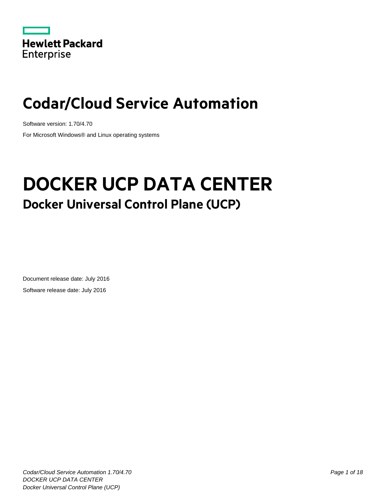

# **Codar/Cloud Service Automation**

Software version: 1.70/4.70 For Microsoft Windows® and Linux operating systems

# **DOCKER UCP DATA CENTER Docker Universal Control Plane (UCP)**

Document release date: July 2016 Software release date: July 2016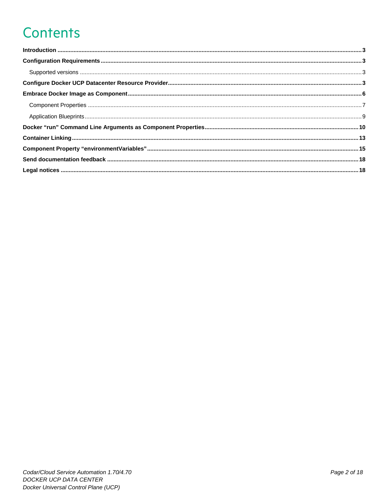# **Contents**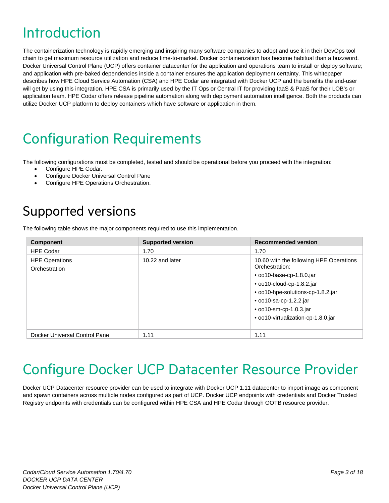## <span id="page-2-0"></span>Introduction

The containerization technology is rapidly emerging and inspiring many software companies to adopt and use it in their DevOps tool chain to get maximum resource utilization and reduce time-to-market. Docker containerization has become habitual than a buzzword. Docker Universal Control Plane (UCP) offers container datacenter for the application and operations team to install or deploy software; and application with pre-baked dependencies inside a container ensures the application deployment certainty. This whitepaper describes how HPE Cloud Service Automation (CSA) and HPE Codar are integrated with Docker UCP and the benefits the end-user will get by using this integration. HPE CSA is primarily used by the IT Ops or Central IT for providing IaaS & PaaS for their LOB's or application team. HPE Codar offers release pipeline automation along with deployment automation intelligence. Both the products can utilize Docker UCP platform to deploy containers which have software or application in them.

## <span id="page-2-1"></span>Configuration Requirements

The following configurations must be completed, tested and should be operational before you proceed with the integration:

- Configure HPE Codar.
- Configure Docker Universal Control Pane
- Configure HPE Operations Orchestration.

## <span id="page-2-2"></span>Supported versions

The following table shows the major components required to use this implementation.

| <b>Component</b>                       | <b>Supported version</b> | <b>Recommended version</b>                                |
|----------------------------------------|--------------------------|-----------------------------------------------------------|
| <b>HPE Codar</b>                       | 1.70                     | 1.70                                                      |
| <b>HPE Operations</b><br>Orchestration | 10.22 and later          | 10.60 with the following HPE Operations<br>Orchestration: |
|                                        |                          | $\bullet$ 0010-base-cp-1.8.0.jar                          |
|                                        |                          | • oo10-cloud-cp-1.8.2.jar                                 |
|                                        |                          | • oo10-hpe-solutions-cp-1.8.2.jar                         |
|                                        |                          | $\bullet$ 0010-sa-cp-1.2.2.jar                            |
|                                        |                          | • oo10-sm-cp-1.0.3.jar                                    |
|                                        |                          | • oo10-virtualization-cp-1.8.0.jar                        |
|                                        |                          |                                                           |
| Docker Universal Control Pane          | 1.11                     | 1.11                                                      |

## <span id="page-2-3"></span>Configure Docker UCP Datacenter Resource Provider

Docker UCP Datacenter resource provider can be used to integrate with Docker UCP 1.11 datacenter to import image as component and spawn containers across multiple nodes configured as part of UCP. Docker UCP endpoints with credentials and Docker Trusted Registry endpoints with credentials can be configured within HPE CSA and HPE Codar through OOTB resource provider.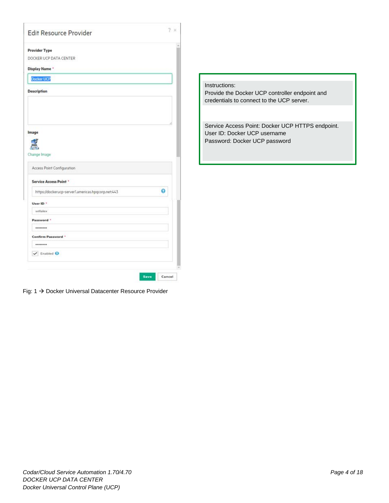| <b>Edit Resource Provider</b>                      | $2 \times$ |
|----------------------------------------------------|------------|
| <b>Provider Type</b>                               |            |
| DOCKER UCP DATA CENTER                             |            |
| Display Name *                                     |            |
| Docker UCP                                         |            |
| <b>Description</b>                                 |            |
|                                                    |            |
|                                                    |            |
| Image                                              |            |
|                                                    |            |
|                                                    |            |
| Change Image                                       |            |
| Access Point Configuration                         |            |
| <b>Service Access Point *</b>                      |            |
| https://dockerucp-server1.americas.hpqcorp.net:443 | 0          |
| User ID *                                          |            |
| willalex                                           |            |
| Password *                                         |            |
|                                                    |            |
| Confirm Password *                                 |            |
|                                                    |            |
|                                                    |            |
| $\blacktriangledown$ Enabled $\Theta$              |            |
|                                                    |            |

Fig: 1 → Docker Universal Datacenter Resource Provider

Instructions: Provide the Docker UCP controller endpoint and credentials to connect to the UCP server.

Service Access Point: Docker UCP HTTPS endpoint. User ID: Docker UCP username Password: Docker UCP password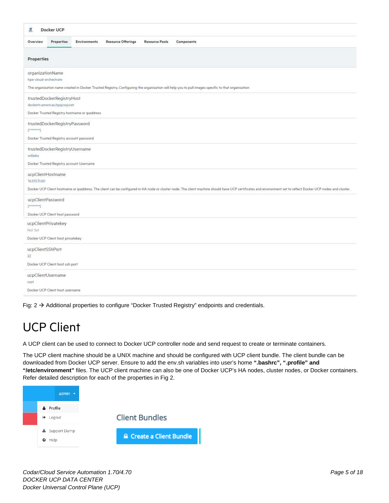| <b>Docker UCP</b><br>ã.                                                                                                                                                                                                                             |
|-----------------------------------------------------------------------------------------------------------------------------------------------------------------------------------------------------------------------------------------------------|
| Properties<br><b>Resource Offerings</b><br><b>Resource Pools</b><br>Components<br>Overview<br><b>Environments</b>                                                                                                                                   |
| <b>Properties</b>                                                                                                                                                                                                                                   |
| organizationName<br>hpe-cloud-orchestrate.<br>The organization name created in Docker Trusted Registry. Configuring the organization will help you to pull images specific to that organization                                                     |
| trustedDockerRegistryHost<br>dockertr.americas.hpqcorp.net<br>Docker Trusted Registry hostname or ipaddress                                                                                                                                         |
| trustedDockerRegistryPassword<br>[1,1,1,1,1,1,1,1]<br>Docker Trusted Registry account password                                                                                                                                                      |
| trustedDockerRegistryUsername<br>willalex<br>Docker Trusted Registry account Username                                                                                                                                                               |
| ucpClientHostname<br>16.103.31.60<br>Docker UCP Client hostname or ipaddress. The client can be configured in HA node or cluster node. The client machine should have UCP certificates and environment set to reflect Docker UCP nodes and cluster. |
| ucpClientPassword<br>$[2222222222]$<br>Docker UCP Client host password                                                                                                                                                                              |
| ucpClientPrivatekey<br>Not Set<br>Docker UCP Client host privatekey                                                                                                                                                                                 |
| ucpClientSShPort<br>22<br>Docker UCP Client host ssh port                                                                                                                                                                                           |
| ucpClientUsername<br>root<br>Docker UCP Client host username                                                                                                                                                                                        |

Fig:  $2 \rightarrow$  Additional properties to configure "Docker Trusted Registry" endpoints and credentials.

### UCP Client

A UCP client can be used to connect to Docker UCP controller node and send request to create or terminate containers.

The UCP client machine should be a UNIX machine and should be configured with UCP client bundle. The client bundle can be downloaded from Docker UCP server. Ensure to add the env.sh variables into user's home **".bashrc", ".profile" and "/etc/environment"** files. The UCP client machine can also be one of Docker UCP's HA nodes, cluster nodes, or Docker containers. Refer detailed description for each of the properties in Fig 2.

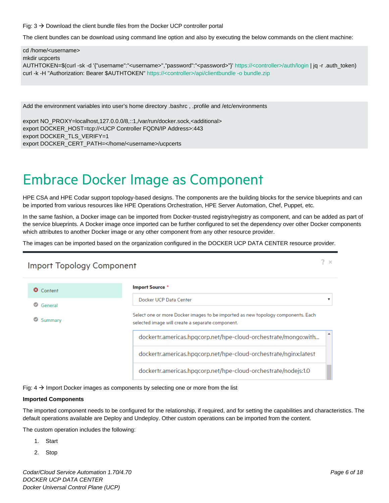Fig:  $3 \rightarrow$  Download the client bundle files from the Docker UCP controller portal

The client bundles can be download using command line option and also by executing the below commands on the client machine:

cd /home/<username> mkdir ucpcerts AUTHTOKEN=\$(curl -sk -d '{"username":"<username>","password":"<password>"}' https://<controller>/auth/login | jq -r .auth\_token) curl -k -H "Authorization: Bearer \$AUTHTOKEN" https://<controller>/api/clientbundle -o bundle.zip

Add the environment variables into user's home directory .bashrc , .profile and /etc/environments

export NO\_PROXY=localhost,127.0.0.0/8,::1,/var/run/docker.sock,<additional> export DOCKER\_HOST=tcp://<UCP Controller FQDN/IP Address>:443 export DOCKER\_TLS\_VERIFY=1 export DOCKER\_CERT\_PATH=</home/<username>/ucpcerts

## <span id="page-5-0"></span>Embrace Docker Image as Component

HPE CSA and HPE Codar support topology-based designs. The components are the building blocks for the service blueprints and can be imported from various resources like HPE Operations Orchestration, HPE Server Automation, Chef, Puppet, etc.

In the same fashion, a Docker image can be imported from Docker-trusted registry/registry as component, and can be added as part of the service blueprints. A Docker image once imported can be further configured to set the dependency over other Docker components which attributes to another Docker image or any other component from any other resource provider.

The images can be imported based on the organization configured in the DOCKER UCP DATA CENTER resource provider.

#### **Import Topology Component**

| ഒ<br>Content         | <b>Import Source *</b>                                                                                                               |
|----------------------|--------------------------------------------------------------------------------------------------------------------------------------|
| $\bullet$<br>General | Docker UCP Data Center                                                                                                               |
| Summary              | Select one or more Docker images to be imported as new topology components. Each<br>selected image will create a separate component. |
|                      | dockertr.americas.hpqcorp.net/hpe-cloud-orchestrate/mongo:with                                                                       |
|                      | dockertr.americas.hpgcorp.net/hpe-cloud-orchestrate/nginx:latest                                                                     |
|                      | dockertr.americas.hpgcorp.net/hpe-cloud-orchestrate/nodejs:1.0                                                                       |

Fig:  $4 \rightarrow$  Import Docker images as components by selecting one or more from the list

#### **Imported Components**

The imported component needs to be configured for the relationship, if required, and for setting the capabilities and characteristics. The default operations available are Deploy and Undeploy. Other custom operations can be imported from the content.

The custom operation includes the following:

- 1. Start
- 2. Stop

 $2 \times$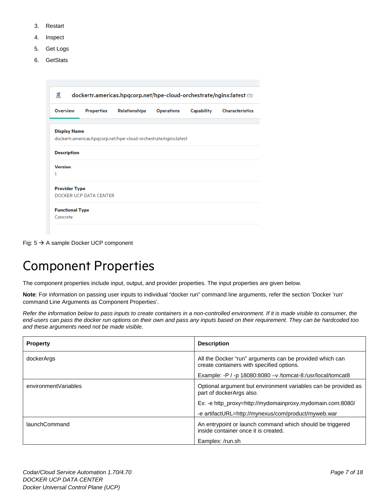- 3. Restart
- 4. Inspect
- 5. Get Logs
- 6. GetStats

|                      |                        | Properties<br><b>Relationships</b>                               | <b>Operations</b> | Capability | <b>Characteristics</b> |
|----------------------|------------------------|------------------------------------------------------------------|-------------------|------------|------------------------|
|                      |                        |                                                                  |                   |            |                        |
| <b>Display Name</b>  |                        | dockertr.americas.hpqcorp.net/hpe-cloud-orchestrate/nginx:latest |                   |            |                        |
|                      |                        |                                                                  |                   |            |                        |
| <b>Description</b>   |                        |                                                                  |                   |            |                        |
| <b>Version</b>       |                        |                                                                  |                   |            |                        |
| 1                    |                        |                                                                  |                   |            |                        |
| <b>Provider Type</b> |                        |                                                                  |                   |            |                        |
|                      | DOCKER UCP DATA CENTER |                                                                  |                   |            |                        |

Fig: 5 A sample Docker UCP component

## <span id="page-6-0"></span>Component Properties

The component properties include input, output, and provider properties. The input properties are given below.

**Note**: For information on passing user inputs to individual "docker run" command line arguments, refer the section 'Docker 'run' command Line Arguments as Component Properties'.

*Refer the information below to pass inputs to create containers in a non-controlled environment. If it is made visible to consumer, the end-users can pass the docker run options on their own and pass any inputs based on their requirement. They can be hardcoded too and these arguments need not be made visible.*

| <b>Property</b>      | <b>Description</b>                                                                                                    |
|----------------------|-----------------------------------------------------------------------------------------------------------------------|
| dockerArgs           | All the Docker "run" arguments can be provided which can<br>create containers with specified options.                 |
|                      | Example: -P / -p 18080:8080 $-v$ /tomcat-8:/usr/local/tomcat8                                                         |
| environmentVariables | Optional argument but environment variables can be provided as<br>part of dockerArgs also.                            |
|                      | Ex: -e http_proxy=http://mydomainproxy.mydomain.com:8080/                                                             |
|                      | -e artifactURL=http://mynexus/com/product/myweb.war                                                                   |
| launchCommand        | An entrypoint or launch command which should be triggered<br>inside container once it is created.<br>Eamplex: /run.sh |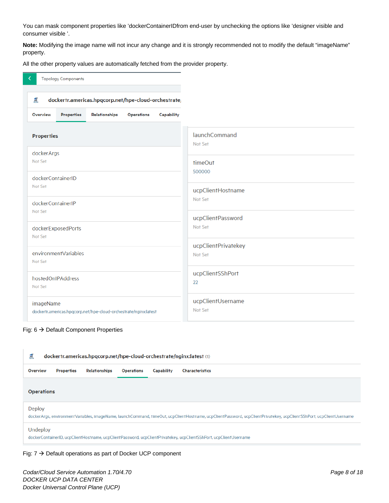You can mask component properties like 'dockerContainerIDfrom end-user by unchecking the options like 'designer visible and consumer visible '.

**Note:** Modifying the image name will not incur any change and it is strongly recommended not to modify the default "imageName" property.

All the other property values are automatically fetched from the provider property.

|                 | <b>Topology Components</b>                                       |                                                      |                   |            |
|-----------------|------------------------------------------------------------------|------------------------------------------------------|-------------------|------------|
| 属               |                                                                  | dockertr.americas.hpqcorp.net/hpe-cloud-orchestrate/ |                   |            |
| <b>Overview</b> | <b>Properties</b>                                                | Relationships                                        | <b>Operations</b> | Capability |
|                 |                                                                  |                                                      |                   |            |
|                 | <b>Properties</b>                                                |                                                      |                   |            |
|                 | dockerArgs                                                       |                                                      |                   |            |
| Not Set         |                                                                  |                                                      |                   |            |
|                 | dockerContainerID                                                |                                                      |                   |            |
| Not Set         |                                                                  |                                                      |                   |            |
|                 |                                                                  |                                                      |                   |            |
| Not Set         | dockerContainerIP                                                |                                                      |                   |            |
|                 |                                                                  |                                                      |                   |            |
|                 | dockerExposedPorts                                               |                                                      |                   |            |
| Not Set         |                                                                  |                                                      |                   |            |
|                 | environmentVariables                                             |                                                      |                   |            |
| Not Set         |                                                                  |                                                      |                   |            |
|                 | hostedOnIPAddress                                                |                                                      |                   |            |
| Not Set         |                                                                  |                                                      |                   |            |
|                 | imageName                                                        |                                                      |                   |            |
|                 | dockertr.americas.hpqcorp.net/hpe-cloud-orchestrate/nginx:latest |                                                      |                   |            |

#### Fig:  $6 \rightarrow$  Default Component Properties

| 黑<br>dockertr.americas.hpqcorp.net/hpe-cloud-orchestrate/nginx:latest (1)                                                                                                            |            |               |                   |            |                        |
|--------------------------------------------------------------------------------------------------------------------------------------------------------------------------------------|------------|---------------|-------------------|------------|------------------------|
| <b>Overview</b>                                                                                                                                                                      | Properties | Relationships | <b>Operations</b> | Capability | <b>Characteristics</b> |
| <b>Operations</b>                                                                                                                                                                    |            |               |                   |            |                        |
| <b>Deploy</b><br>dockerArgs, environmentVariables, imageName, launchCommand, timeOut, ucpClientHostname, ucpClientPassword, ucpClientPrivatekey, ucpClientSShPort, ucpClientUsername |            |               |                   |            |                        |
| Undeploy<br>dockerContainerID, ucpClientHostname, ucpClientPassword, ucpClientPrivatekey, ucpClientSShPort, ucpClientUsername                                                        |            |               |                   |            |                        |

#### Fig:  $7 \rightarrow$  Default operations as part of Docker UCP component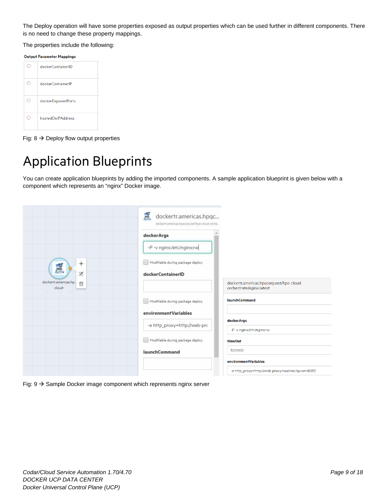The Deploy operation will have some properties exposed as output properties which can be used further in different components. There is no need to change these property mappings.

The properties include the following:

| <b>Output Parameter Mappings</b> |  |
|----------------------------------|--|
|                                  |  |

| dockerContainerID  |
|--------------------|
| dockerContainerIP  |
| dockerExposedPorts |
| hostedOnIPAddress  |

Fig:  $8 \rightarrow$  Deploy flow output properties

## <span id="page-8-0"></span>Application Blueprints

You can create application blueprints by adding the imported components. A sample application blueprint is given below with a component which represents an "nginx" Docker image.

|                                                       | 黑<br>dockertr.americas.hpqc<br>dockertr.americas.hpgcorp.net/hpe-cloud-orche |                                                                      |
|-------------------------------------------------------|------------------------------------------------------------------------------|----------------------------------------------------------------------|
|                                                       | dockerArgs                                                                   |                                                                      |
|                                                       | -P -v nginx:/etc/nginx:rw                                                    |                                                                      |
| $^{+}$<br>芝                                           | Modifiable during package deploy                                             |                                                                      |
| $\overline{z}$<br>dockertr.americas.hp<br>茴<br>cloud- | dockerContainerID                                                            | dockertr.americas.hpqcorp.net/hpe-cloud-<br>orchestrate/nginx:latest |
|                                                       | Modifiable during package deploy                                             | <b>launchCommand</b>                                                 |
|                                                       | environment Variables                                                        |                                                                      |
|                                                       | -e http_proxy=http://web-prc                                                 | dockerArgs<br>-P -v nginx:/etc/nginx:rw                              |
|                                                       | Modifiable during package deploy                                             | <b>timeOut</b>                                                       |
|                                                       | <b>launchCommand</b>                                                         | 500000                                                               |
|                                                       |                                                                              | environmentVariables                                                 |
|                                                       |                                                                              | -e http_proxy=http://web-proxy.houston.hp.com:8080                   |

Fig:  $9 \rightarrow$  Sample Docker image component which represents nginx server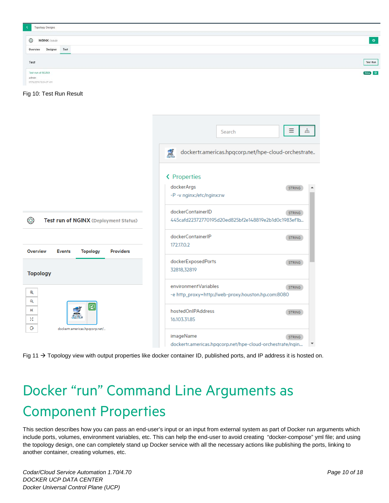| <b>Topology Designs</b>         |           |
|---------------------------------|-----------|
| <b>NGINX</b> (1.0.0)<br>◎       | $\bullet$ |
| Test<br>Designer<br>Overview    |           |
| Test                            | Test Run  |
| Test run of NGINX               | Ories O   |
| admin<br>07/16/2016 12:04:27 AM |           |



|                                                                         | Ξ<br>ಣಿ<br>Search                                                                           |
|-------------------------------------------------------------------------|---------------------------------------------------------------------------------------------|
|                                                                         | $\frac{1}{2}$<br>dockertr.americas.hpqcorp.net/hpe-cloud-orchestrate                        |
|                                                                         | ← Properties<br>dockerArgs<br><b>STRING</b>                                                 |
|                                                                         | -P -v nginx:/etc/nginx:rw                                                                   |
| ⊗<br>Test run of NGINX (Deployment Status)                              | dockerContainerID<br><b>STRING</b><br>445cafd22372770195d20ed825bf2e148819e2b1d0c1983ef1b   |
| <b>Overview</b><br><b>Events</b><br><b>Topology</b><br><b>Providers</b> | dockerContainerIP<br><b>STRING</b><br>172,17.0.2                                            |
| <b>Topology</b>                                                         | dockerExposedPorts<br><b>STRING</b><br>32818,32819                                          |
| $^{\circledR}$<br>Q                                                     | environmentVariables<br><b>STRING</b><br>-e http_proxy=http://web-proxy.houston.hp.com:8080 |
| ☑<br>業<br>55                                                            | hostedOnIPAddress<br><b>STRING</b><br>16.103.31.85                                          |
| $\Theta$<br>dockertr.americas.hpgcorp.net/                              | imageName<br><b>STRING</b><br>dockertr.americas.hpgcorp.net/hpe-cloud-orchestrate/ngin.     |



# <span id="page-9-0"></span>Docker "run" Command Line Arguments as Component Properties

This section describes how you can pass an end-user's input or an input from external system as part of Docker run arguments which include ports, volumes, environment variables, etc. This can help the end-user to avoid creating "docker-compose" yml file; and using the topology design, one can completely stand up Docker service with all the necessary actions like publishing the ports, linking to another container, creating volumes, etc.

*Codar/Cloud Service Automation 1.70/4.70 Page 10 of 18 DOCKER UCP DATA CENTER Docker Universal Control Plane (UCP)*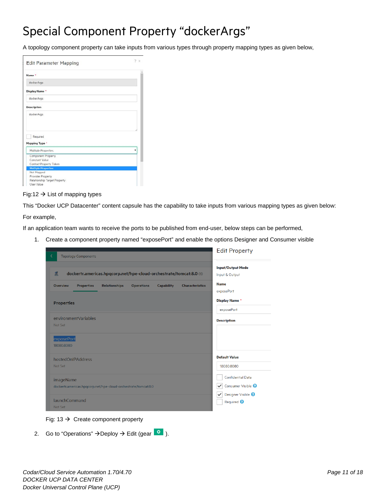### Special Component Property "dockerArgs"

A topology component property can take inputs from various types through property mapping types as given below,

| <b>Edit Parameter Mapping</b> | × |
|-------------------------------|---|
| Name *                        |   |
| dockerArgs                    |   |
| Display Name *                |   |
| dockerArgs                    |   |
| <b>Description</b>            |   |
| dockerArgs                    |   |
| Required                      |   |
| Mapping Type *                |   |
| Multiple Properties           | ٠ |
| Component Property            |   |
| Constant Value                |   |
| Context Property Token        |   |
| <b>Multiple Properties</b>    |   |
| Not Mapped                    |   |
| Provider Property             |   |
| Relationship Target Property  |   |
| User Value                    |   |

#### Fig:12  $\rightarrow$  List of mapping types

This "Docker UCP Datacenter" content capsule has the capability to take inputs from various mapping types as given below:

For example,

If an application team wants to receive the ports to be published from end-user, below steps can be performed,

1. Create a component property named "exposePort" and enable the options Designer and Consumer visible

| ∢<br><b>Topology Components</b>                                                                                                  | <b>Edit Property</b>                                                   |
|----------------------------------------------------------------------------------------------------------------------------------|------------------------------------------------------------------------|
| 冨<br>dockertr.americas.hpqcorp.net/hpe-cloud-orchestrate/tomcat:8.0 (1)                                                          | <b>Input/Output Mode</b><br>Input & Output                             |
| <b>Overview</b><br><b>Properties</b><br><b>Relationships</b><br><b>Operations</b><br><b>Capability</b><br><b>Characteristics</b> | <b>Name</b><br>exposePort                                              |
| <b>Properties</b>                                                                                                                | <b>Display Name *</b>                                                  |
|                                                                                                                                  | exposePort                                                             |
| environmentVariables<br>Not Set                                                                                                  | <b>Description</b>                                                     |
| exposePort<br>18080:8080                                                                                                         |                                                                        |
| hostedOnIPAddress<br>Not Set                                                                                                     | <b>Default Value</b><br>18080:8080                                     |
| imageName<br>dockertr.americas.hpqcorp.net/hpe-cloud-orchestrate/tomcat:8.0                                                      | <b>Confidential Data</b><br>Consumer Visible <sup>@</sup><br>✓         |
| <b>launchCommand</b><br>Not Set                                                                                                  | Designer Visible <sup>9</sup><br>$\checkmark$<br>Required <sup>2</sup> |



2. Go to "Operations"  $\rightarrow$  Deploy  $\rightarrow$  Edit (gear  $\begin{bmatrix} 0 \\ 0 \end{bmatrix}$ ).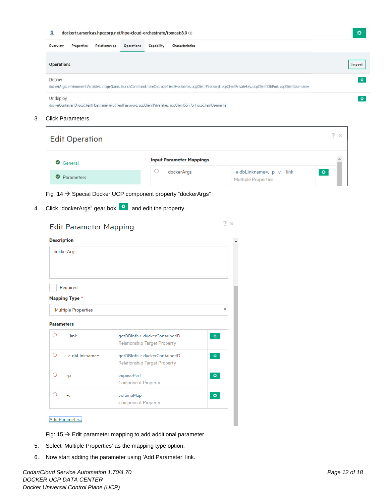| 專                      |                      |                   | dockertr.americas.hpqcorp.net/hpe-cloud-orchestrate/tomcat:8.0 (1)                                                                                                  | ۰      |
|------------------------|----------------------|-------------------|---------------------------------------------------------------------------------------------------------------------------------------------------------------------|--------|
| Properties<br>Overview | <b>Relationships</b> | <b>Operations</b> | Capability<br><b>Characteristics</b>                                                                                                                                |        |
| <b>Operations</b>      |                      |                   |                                                                                                                                                                     | Import |
| Deploy                 |                      |                   |                                                                                                                                                                     | ۰      |
|                        |                      |                   | dockerArgs, environmentVariables, imageName, launchCommand, timeOut, ucpClientHostname, ucpClientPassword, ucpClientPrivatekey, ucpClientSShPort, ucpClientUsername |        |
| Undeploy               |                      |                   |                                                                                                                                                                     | ۰      |
|                        |                      |                   | dockerContainerID, ucpClientHostname, ucpClientPassword, ucpClientPrivatekey, ucpClientSShPort, ucpClientUsername                                                   |        |

3. Click Parameters.

| <b>Edit Operation</b> |                                 |                                                              | 2 X |
|-----------------------|---------------------------------|--------------------------------------------------------------|-----|
| General               | <b>Input Parameter Mappings</b> |                                                              |     |
| Parameters<br>$\sim$  | dockerArgs                      | -e dbLinkname=, -p, -v, --link<br><b>Multiple Properties</b> | ø   |

 $2 \times$ 

Fig :14  $\rightarrow$  Special Docker UCP component property "dockerArgs"

4. Click "dockerArgs" gear box  $\boxed{\circ}$  and edit the property.

| <b>Edit Parameter Mapping</b> |                            |                                                                      | 7<br>×    |
|-------------------------------|----------------------------|----------------------------------------------------------------------|-----------|
| <b>Description</b>            |                            |                                                                      |           |
|                               | dockerArgs                 |                                                                      |           |
|                               | Required                   |                                                                      |           |
|                               | <b>Mapping Type *</b>      |                                                                      |           |
|                               | <b>Multiple Properties</b> |                                                                      | ▼         |
| <b>Parameters</b>             |                            |                                                                      |           |
| ◯                             | $-$ link                   | getDBInfo > dockerContainerID<br><b>Relationship Target Property</b> | $\bullet$ |
| ∩                             | -e dbLinkname=             | getDBInfo > dockerContainerID<br><b>Relationship Target Property</b> | $\bullet$ |
| ∩                             | $-p$                       | exposePort<br><b>Component Property</b>                              | ø.        |
| ∩                             | $-V$                       | volumeMap<br><b>Component Property</b>                               | $\bullet$ |

#### Add Parameter...

Fig: 15  $\rightarrow$  Edit parameter mapping to add additional parameter

- 5. Select 'Multiple Properties' as the mapping type option.
- 6. Now start adding the parameter using 'Add Parameter' link.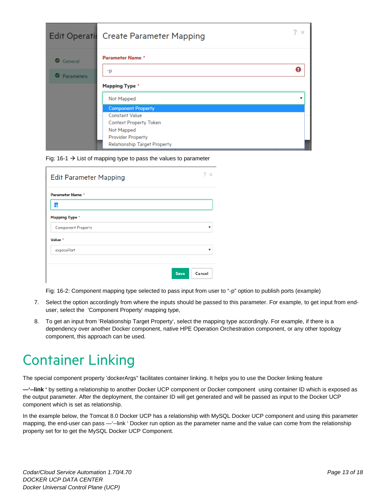|                        | Edit Operatic Create Parameter Mapping | 2<br>$\times$ |
|------------------------|----------------------------------------|---------------|
| General                | <b>Parameter Name *</b>                |               |
| <b>Parameters</b><br>ω | -p                                     |               |
|                        | <b>Mapping Type *</b>                  |               |
|                        | Not Mapped                             | ▼             |
|                        | <b>Component Property</b>              |               |
|                        | <b>Constant Value</b>                  |               |
|                        | Context Property Token                 |               |
|                        | Not Mapped                             |               |
|                        | <b>Provider Property</b>               |               |
|                        | <b>Relationship Target Property</b>    |               |

Fig: 16-1  $\rightarrow$  List of mapping type to pass the values to parameter

| <b>Edit Parameter Mapping</b> | 2<br>$\mathbb{X}$       |
|-------------------------------|-------------------------|
| <b>Parameter Name *</b>       |                         |
| -p<br><b>Mapping Type *</b>   |                         |
| <b>Component Property</b>     | $\overline{\mathbf{v}}$ |
| Value *<br>exposePort         | v                       |
|                               | <b>Save</b><br>Cancel   |

Fig: 16-2: Component mapping type selected to pass input from user to "-p" option to publish ports (example)

- 7. Select the option accordingly from where the inputs should be passed to this parameter. For example, to get input from enduser, select the 'Component Property' mapping type,
- 8. To get an input from 'Relationship Target Property', select the mapping type accordingly. For example, if there is a dependency over another Docker component, native HPE Operation Orchestration component, or any other topology component, this approach can be used.

## <span id="page-12-0"></span>Container Linking

The special component property 'dockerArgs" facilitates container linking. It helps you to use the Docker linking feature

**—'--link '** by setting a relationship to another Docker UCP component or Docker component using container ID which is exposed as the output parameter. After the deployment, the container ID will get generated and will be passed as input to the Docker UCP component which is set as relationship.

In the example below, the Tomcat 8.0 Docker UCP has a relationship with MySQL Docker UCP component and using this parameter mapping, the end-user can pass —'--link ' Docker run option as the parameter name and the value can come from the relationship property set for to get the MySQL Docker UCP Component.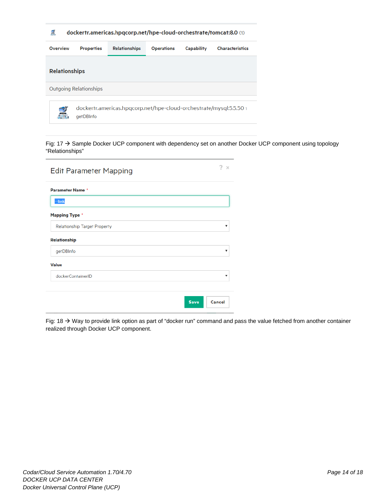|  | dockertr.americas.hpqcorp.net/hpe-cloud-orchestrate/tomcat:8.0 (1) |
|--|--------------------------------------------------------------------|
|--|--------------------------------------------------------------------|

| Overview                                                                             | <b>Properties</b> | <b>Relationships</b> | <b>Operations</b> | Capability | <b>Characteristics</b> |
|--------------------------------------------------------------------------------------|-------------------|----------------------|-------------------|------------|------------------------|
| <b>Relationships</b>                                                                 |                   |                      |                   |            |                        |
| Outgoing Relationships                                                               |                   |                      |                   |            |                        |
| dockertr.americas.hpgcorp.net/hpe-cloud-orchestrate/mysql:5.5.50 1<br>3<br>aetDBInfo |                   |                      |                   |            |                        |

Fig: 17  $\rightarrow$  Sample Docker UCP component with dependency set on another Docker UCP component using topology "Relationships"

| <b>Edit Parameter Mapping</b>       |             | 7<br>$\times$ |
|-------------------------------------|-------------|---------------|
| <b>Parameter Name *</b>             |             |               |
| --link                              |             |               |
| <b>Mapping Type *</b>               |             |               |
| <b>Relationship Target Property</b> |             | v             |
| <b>Relationship</b>                 |             |               |
| getDBInfo                           |             | ▼             |
| <b>Value</b>                        |             |               |
| dockerContainerID                   |             | ▼             |
|                                     |             |               |
|                                     | <b>Save</b> | Cancel        |

Fig: 18  $\rightarrow$  Way to provide link option as part of "docker run" command and pass the value fetched from another container realized through Docker UCP component.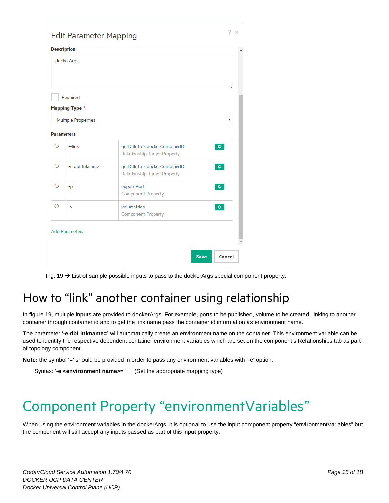|   | <b>Description</b>         |                                                                      |                   |
|---|----------------------------|----------------------------------------------------------------------|-------------------|
|   | dockerArgs                 |                                                                      |                   |
|   |                            |                                                                      |                   |
|   | Required                   |                                                                      |                   |
|   | <b>Mapping Type *</b>      |                                                                      |                   |
|   | <b>Multiple Properties</b> |                                                                      | ▼                 |
|   | <b>Parameters</b>          |                                                                      |                   |
| Ο | $-$ link                   | getDBInfo > dockerContainerID<br><b>Relationship Target Property</b> | $\ddot{\text{o}}$ |
| Ω | -e dbLinkname=             | getDBInfo > dockerContainerID<br><b>Relationship Target Property</b> | $\bullet$         |
| О | -p                         | exposePort<br><b>Component Property</b>                              | ۰                 |
| Ω | $-V$                       | volumeMap<br><b>Component Property</b>                               | $\bullet$         |
|   | Add Parameter              |                                                                      |                   |
|   |                            |                                                                      |                   |

Fig:  $19 \rightarrow$  List of sample possible inputs to pass to the dockerArgs special component property.

## How to "link" another container using relationship

In figure 19, multiple inputs are provided to dockerArgs. For example, ports to be published, volume to be created, linking to another container through container id and to get the link name pass the container id information as environment name.

The parameter '**-e dbLinkname='** will automatically create an environment name on the container. This environment variable can be used to identify the respective dependent container environment variables which are set on the component's Relationships tab as part of topology component.

**Note:** the symbol '=' should be provided in order to pass any environment variables with '-e' option.

```
Syntax: '-e <environment name>= ' (Set the appropriate mapping type)
```
# <span id="page-14-0"></span>Component Property "environmentVariables"

When using the environment variables in the dockerArgs, it is optional to use the input component property "environmentVariables" but the component will still accept any inputs passed as part of this input property.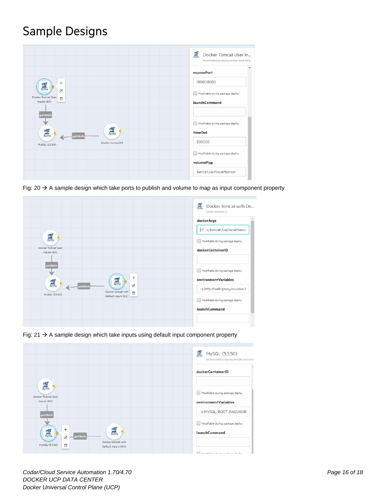### Sample Designs



Fig:  $20 \rightarrow A$  sample design which take ports to publish and volume to map as input component property



Fig:  $21 \rightarrow A$  sample design which take inputs using default input component property



*Codar/Cloud Service Automation 1.70/4.70 Page 16 of 18 DOCKER UCP DATA CENTER Docker Universal Control Plane (UCP)*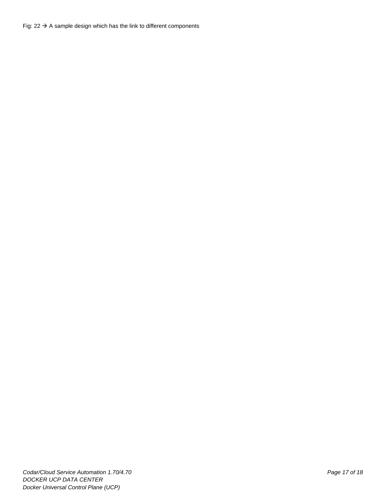Fig:  $22 \rightarrow A$  sample design which has the link to different components